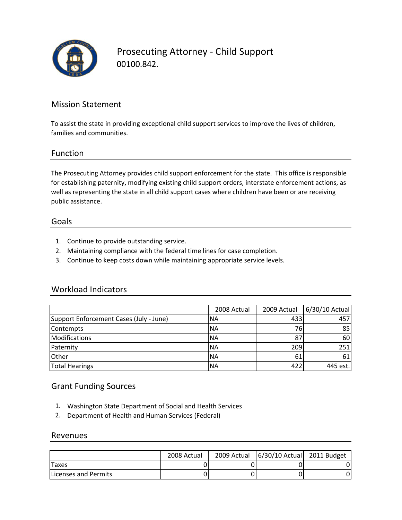

Prosecuting Attorney ‐ Child Support 00100.842.

### Mission Statement

To assist the state in providing exceptional child support services to improve the lives of children, families and communities.

#### Function

The Prosecuting Attorney provides child support enforcement for the state. This office is responsible for establishing paternity, modifying existing child support orders, interstate enforcement actions, as well as representing the state in all child support cases where children have been or are receiving public assistance.

#### Goals

- 1. Continue to provide outstanding service.
- 2. Maintaining compliance with the federal time lines for case completion.
- 3. Continue to keep costs down while maintaining appropriate service levels.

#### Workload Indicators

|                                         | 2008 Actual | 2009 Actual | 6/30/10 Actual |
|-----------------------------------------|-------------|-------------|----------------|
| Support Enforcement Cases (July - June) | 'NA         | 433         | 457            |
| Contempts                               | <b>NA</b>   | 76          | 85             |
| Modifications                           | <b>NA</b>   | 87          | 60             |
| Paternity                               | <b>NA</b>   | 209         | 251            |
| Other                                   | <b>NA</b>   | 61          | 61             |
| <b>Total Hearings</b>                   | <b>NA</b>   | 422         | 445 est.       |

#### Grant Funding Sources

- 1. Washington State Department of Social and Health Services
- 2. Department of Health and Human Services (Federal)

#### Revenues

|                              | 2008 Actual | 2009 Actual | $\left  \frac{6}{30} \right  10$ Actual 2011 Budget |  |
|------------------------------|-------------|-------------|-----------------------------------------------------|--|
| <b>Taxes</b>                 |             |             |                                                     |  |
| <b>ILicenses and Permits</b> |             |             |                                                     |  |